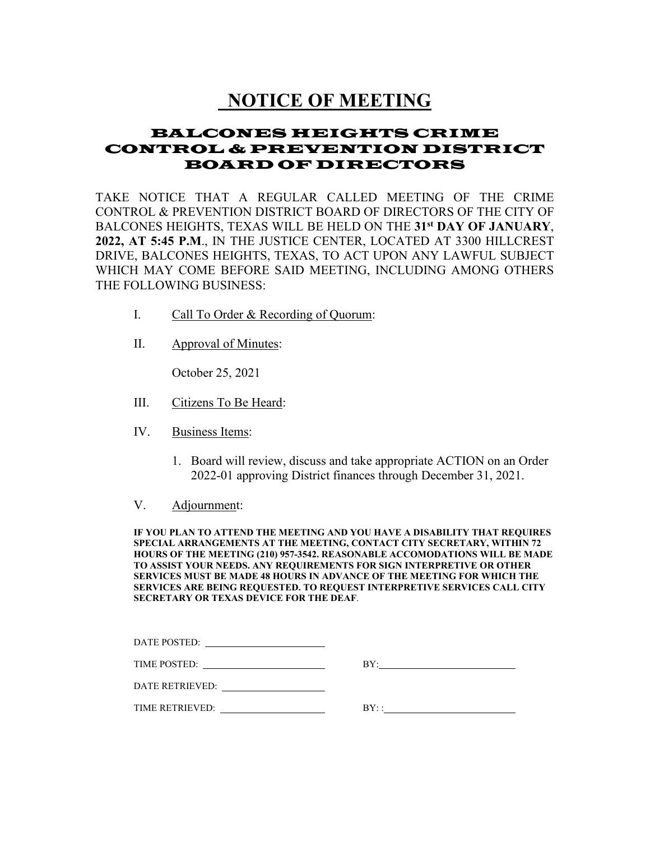# **NOTICE OF MEETING**

## BALCONES HEIGHTS CRIME CONTROL & PREVENTION DISTRICT BOARD OF DIRECTORS

TAKE NOTICE THAT A REGULAR CALLED MEETING OF THE CRIME CONTROL & PREVENTION DISTRICT BOARD OF DIRECTORS OF THE CITY OF BALCONES HEIGHTS, TEXAS WILL BE HELD ON THE **31st DAY OF JANUARY**, **2022, AT 5:45 P.M**., IN THE JUSTICE CENTER, LOCATED AT 3300 HILLCREST DRIVE, BALCONES HEIGHTS, TEXAS, TO ACT UPON ANY LAWFUL SUBJECT WHICH MAY COME BEFORE SAID MEETING, INCLUDING AMONG OTHERS THE FOLLOWING BUSINESS:

- I. Call To Order & Recording of Quorum:
- II. Approval of Minutes:

October 25, 2021

- III. Citizens To Be Heard:
- IV. Business Items:
	- 1. Board will review, discuss and take appropriate ACTION on an Order 2022-01 approving District finances through December 31, 2021.
- V. Adjournment:

**IF YOU PLAN TO ATTEND THE MEETING AND YOU HAVE A DISABILITY THAT REQUIRES SPECIAL ARRANGEMENTS AT THE MEETING, CONTACT CITY SECRETARY, WITHIN 72 HOURS OF THE MEETING (210) 957-3542. REASONABLE ACCOMODATIONS WILL BE MADE TO ASSIST YOUR NEEDS. ANY REQUIREMENTS FOR SIGN INTERPRETIVE OR OTHER SERVICES MUST BE MADE 48 HOURS IN ADVANCE OF THE MEETING FOR WHICH THE SERVICES ARE BEING REQUESTED. TO REQUEST INTERPRETIVE SERVICES CALL CITY SECRETARY OR TEXAS DEVICE FOR THE DEAF**.

| DATE POSTED:<br>the contract of the contract of the contract of |                              |
|-----------------------------------------------------------------|------------------------------|
| TIME POSTED:                                                    | BY:                          |
| DATE RETRIEVED:                                                 |                              |
| TIME RETRIEVED:                                                 | $\mathsf{B}\mathsf{Y}\cdots$ |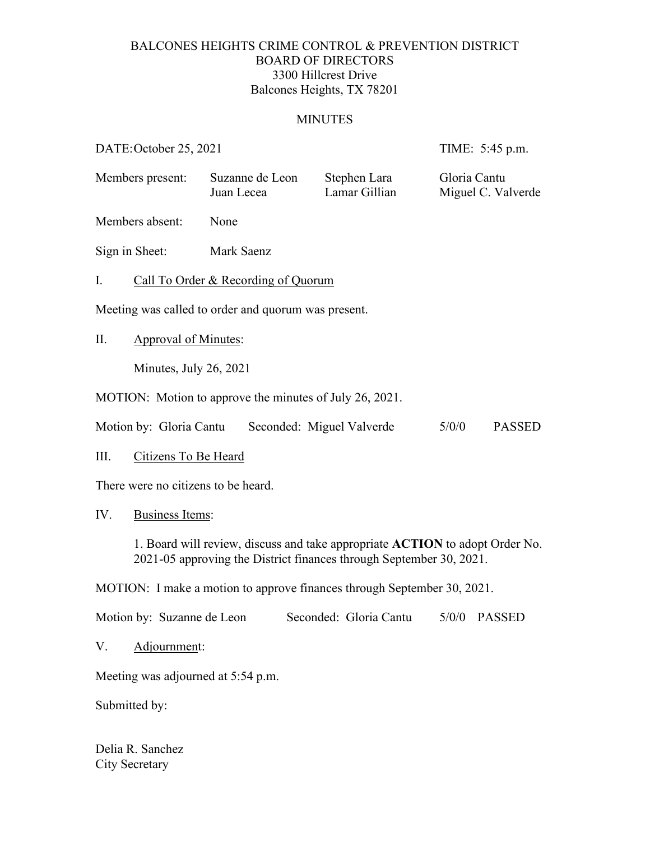## BALCONES HEIGHTS CRIME CONTROL & PREVENTION DISTRICT BOARD OF DIRECTORS 3300 Hillcrest Drive Balcones Heights, TX 78201

## MINUTES

DATE: October 25, 2021 TIME: 5:45 p.m.

| Members present:                                                               |                                                                                                                                                     | Juan Lecea | Suzanne de Leon<br>Stephen Lara<br>Lamar Gillian |                        | Gloria Cantu<br>Miguel C. Valverde |               |
|--------------------------------------------------------------------------------|-----------------------------------------------------------------------------------------------------------------------------------------------------|------------|--------------------------------------------------|------------------------|------------------------------------|---------------|
|                                                                                | Members absent:                                                                                                                                     | None       |                                                  |                        |                                    |               |
|                                                                                | Sign in Sheet:                                                                                                                                      | Mark Saenz |                                                  |                        |                                    |               |
| Ι.                                                                             | Call To Order & Recording of Quorum                                                                                                                 |            |                                                  |                        |                                    |               |
| Meeting was called to order and quorum was present.                            |                                                                                                                                                     |            |                                                  |                        |                                    |               |
| Π.                                                                             | <b>Approval of Minutes:</b>                                                                                                                         |            |                                                  |                        |                                    |               |
|                                                                                | Minutes, July 26, 2021                                                                                                                              |            |                                                  |                        |                                    |               |
| MOTION: Motion to approve the minutes of July 26, 2021.                        |                                                                                                                                                     |            |                                                  |                        |                                    |               |
| Motion by: Gloria Cantu<br>Seconded: Miguel Valverde<br>5/0/0<br><b>PASSED</b> |                                                                                                                                                     |            |                                                  |                        |                                    |               |
| III.                                                                           | Citizens To Be Heard                                                                                                                                |            |                                                  |                        |                                    |               |
| There were no citizens to be heard.                                            |                                                                                                                                                     |            |                                                  |                        |                                    |               |
| IV.                                                                            | <b>Business Items:</b>                                                                                                                              |            |                                                  |                        |                                    |               |
|                                                                                | 1. Board will review, discuss and take appropriate ACTION to adopt Order No.<br>2021-05 approving the District finances through September 30, 2021. |            |                                                  |                        |                                    |               |
| MOTION: I make a motion to approve finances through September 30, 2021.        |                                                                                                                                                     |            |                                                  |                        |                                    |               |
|                                                                                | Motion by: Suzanne de Leon                                                                                                                          |            |                                                  | Seconded: Gloria Cantu | 5/0/0                              | <b>PASSED</b> |
| V.                                                                             | Adjournment:                                                                                                                                        |            |                                                  |                        |                                    |               |
| Meeting was adjourned at 5:54 p.m.                                             |                                                                                                                                                     |            |                                                  |                        |                                    |               |
| Submitted by:                                                                  |                                                                                                                                                     |            |                                                  |                        |                                    |               |

Delia R. Sanchez City Secretary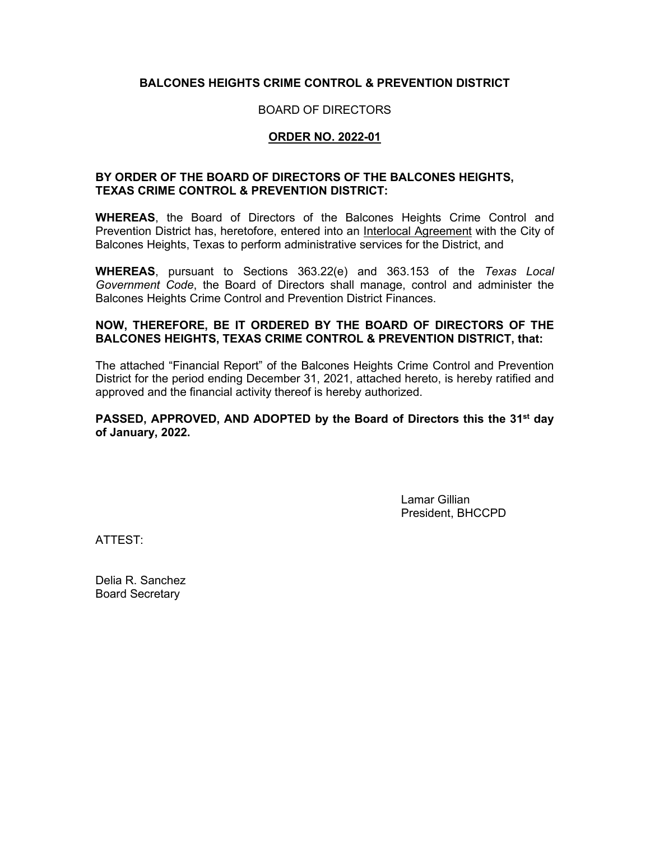#### **BALCONES HEIGHTS CRIME CONTROL & PREVENTION DISTRICT**

#### BOARD OF DIRECTORS

#### **ORDER NO. 2022-01**

#### **BY ORDER OF THE BOARD OF DIRECTORS OF THE BALCONES HEIGHTS, TEXAS CRIME CONTROL & PREVENTION DISTRICT:**

**WHEREAS**, the Board of Directors of the Balcones Heights Crime Control and Prevention District has, heretofore, entered into an Interlocal Agreement with the City of Balcones Heights, Texas to perform administrative services for the District, and

**WHEREAS**, pursuant to Sections 363.22(e) and 363.153 of the *Texas Local Government Code*, the Board of Directors shall manage, control and administer the Balcones Heights Crime Control and Prevention District Finances.

#### **NOW, THEREFORE, BE IT ORDERED BY THE BOARD OF DIRECTORS OF THE BALCONES HEIGHTS, TEXAS CRIME CONTROL & PREVENTION DISTRICT, that:**

The attached "Financial Report" of the Balcones Heights Crime Control and Prevention District for the period ending December 31, 2021, attached hereto, is hereby ratified and approved and the financial activity thereof is hereby authorized.

#### **PASSED, APPROVED, AND ADOPTED by the Board of Directors this the 31st day of January, 2022.**

Lamar Gillian President, BHCCPD

ATTEST:

Delia R. Sanchez Board Secretary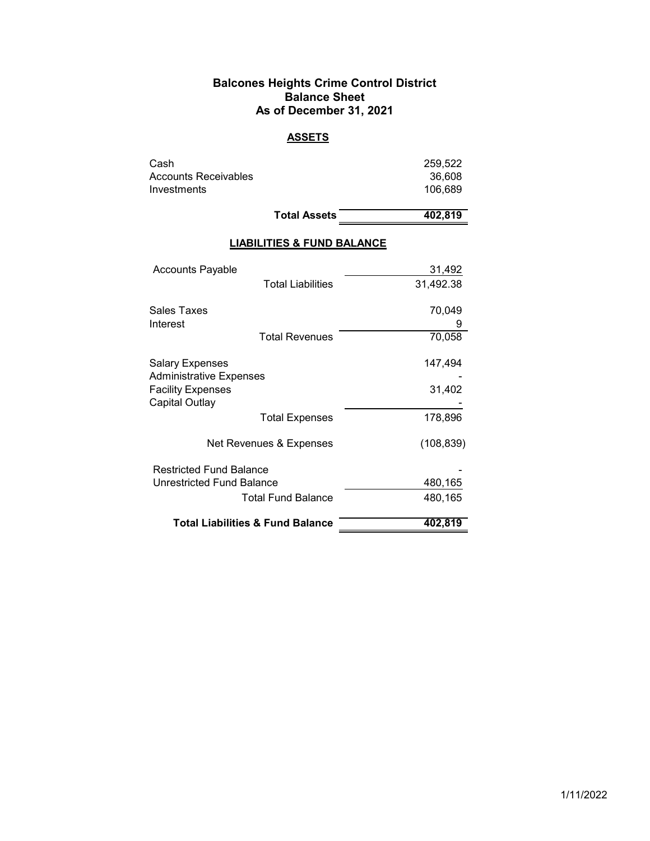#### **Balcones Heights Crime Control District Balance Sheet As of December 31, 2021**

## **ASSETS**

| Cash                 | 259.522 |
|----------------------|---------|
| Accounts Receivables | 36,608  |
| Investments          | 106.689 |
|                      |         |

Total Assets 402,819

## **LIABILITIES & FUND BALANCE**

|                                            | <b>Total Liabilities &amp; Fund Balance</b> | 402.819    |
|--------------------------------------------|---------------------------------------------|------------|
|                                            |                                             |            |
|                                            | <b>Total Fund Balance</b>                   | 480,165    |
| Unrestricted Fund Balance                  |                                             | 480,165    |
| <b>Restricted Fund Balance</b>             |                                             |            |
|                                            | Net Revenues & Expenses                     | (108, 839) |
|                                            | <b>Total Expenses</b>                       | 178,896    |
| <b>Facility Expenses</b><br>Capital Outlay |                                             | 31,402     |
| <b>Administrative Expenses</b>             |                                             |            |
| Salary Expenses                            |                                             | 147,494    |
|                                            | <b>Total Revenues</b>                       | 70,058     |
| Interest                                   |                                             |            |
| Sales Taxes                                |                                             | 70,049     |
|                                            | <b>Total Liabilities</b>                    | 31,492.38  |
| Accounts Payable                           |                                             | 31,492     |
|                                            |                                             |            |